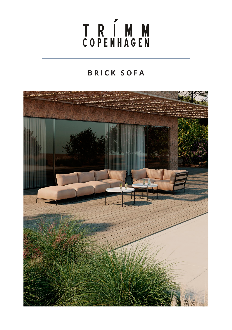# T R Í M M<br>COPENHAGEN

### **BRICK SOFA**

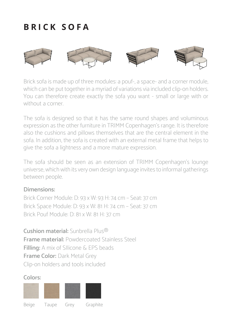## **BRICK SOFA**



Brick sofa is made up of three modules: a pouf-, a space- and a corner module, which can be put together in a myriad of variations via included clip-on holders. You can therefore create exactly the sofa you want - small or large with or without a corner.

The sofa is designed so that it has the same round shapes and voluminous expression as the other furniture in TRIMM Copenhagen's range. It is therefore also the cushions and pillows themselves that are the central element in the sofa. In addition, the sofa is created with an external metal frame that helps to give the sofa a lightness and a more mature expression.

The sofa should be seen as an extension of TRIMM Copenhagen's lounge universe, which with its very own design language invites to informal gatherings between people.

#### **Dimensions:**

Brick Corner Module: D: 93 x W: 93 H: 74 cm – Seat: 37 cm Brick Space Module: D: 93 x W: 81 H: 74 cm – Seat: 37 cm Brick Pouf Module: D: 81 x W: 81 H: 37 cm

**Cushion material:** Sunbrella Plus® **Frame material:** Powdercoated Stainless Steel **Filling:** A mix of SIlicone & EPS beads **Frame Color:** Dark Metal Grey Clip-on holders and tools included

#### **Colors:**

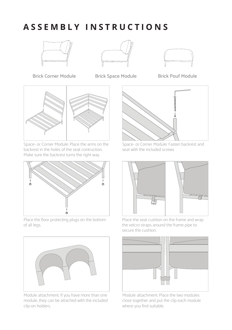## **ASSEMBLY INSTRUCTIONS**







**Brick Corner Module Brick Space Module Brick Pouf Module**



Space- or Corner Module: Place the arms on the backrest in the holes of the seat contruction. Make sure the backrest turns the right way.



Place the floor protecting plugs on the bottom of all legs.



Module attachment: If you have more than one module, they can be attached with the included clip-on holders.



Space- or Corner Module: Fasten backrest and seat with the included screws



Place the seat cushion on the frame and wrap the velcro straps around the frame pipe to secure the cushion.



Module attachment: Place the two modules close together and put the clip each module where you find suitable.